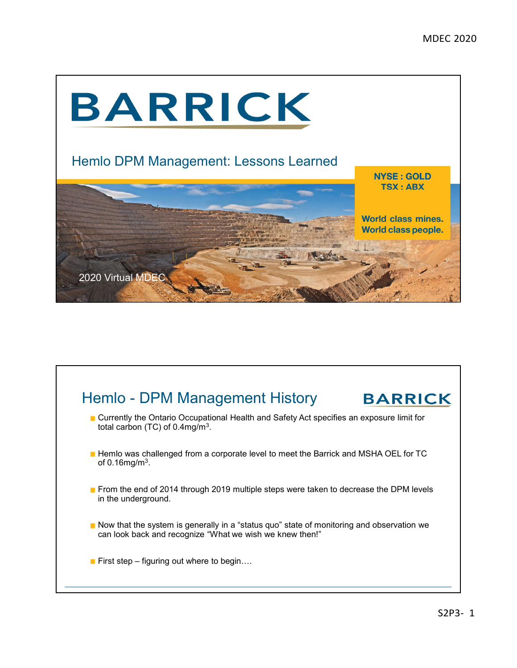

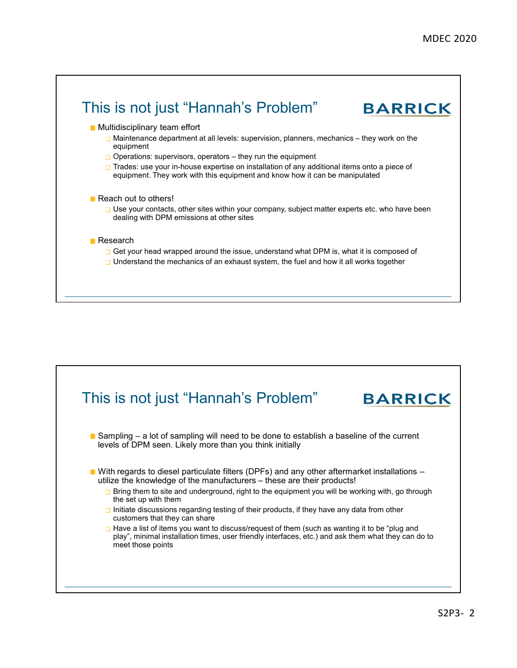

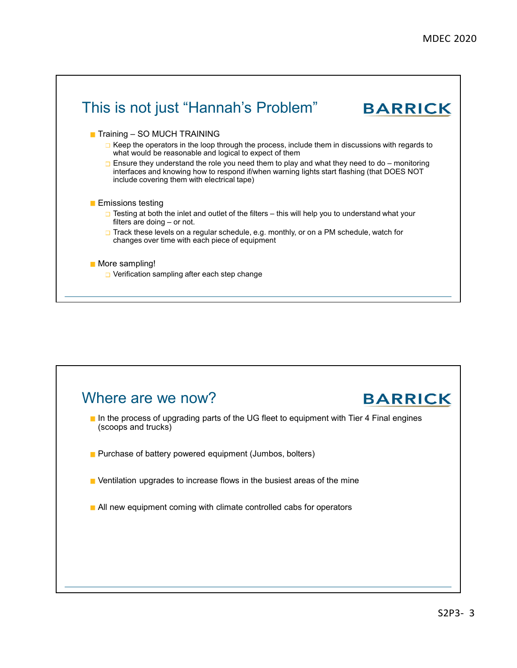